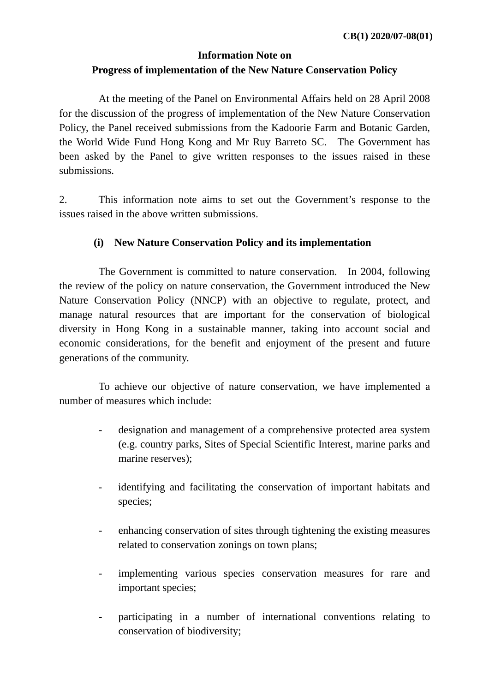# **Information Note on Progress of implementation of the New Nature Conservation Policy**

 At the meeting of the Panel on Environmental Affairs held on 28 April 2008 for the discussion of the progress of implementation of the New Nature Conservation Policy, the Panel received submissions from the Kadoorie Farm and Botanic Garden, the World Wide Fund Hong Kong and Mr Ruy Barreto SC. The Government has been asked by the Panel to give written responses to the issues raised in these submissions.

2. This information note aims to set out the Government's response to the issues raised in the above written submissions.

# **(i) New Nature Conservation Policy and its implementation**

 The Government is committed to nature conservation. In 2004, following the review of the policy on nature conservation, the Government introduced the New Nature Conservation Policy (NNCP) with an objective to regulate, protect, and manage natural resources that are important for the conservation of biological diversity in Hong Kong in a sustainable manner, taking into account social and economic considerations, for the benefit and enjoyment of the present and future generations of the community.

 To achieve our objective of nature conservation, we have implemented a number of measures which include:

- designation and management of a comprehensive protected area system (e.g. country parks, Sites of Special Scientific Interest, marine parks and marine reserves);
- identifying and facilitating the conservation of important habitats and species;
- enhancing conservation of sites through tightening the existing measures related to conservation zonings on town plans;
- implementing various species conservation measures for rare and important species;
- participating in a number of international conventions relating to conservation of biodiversity;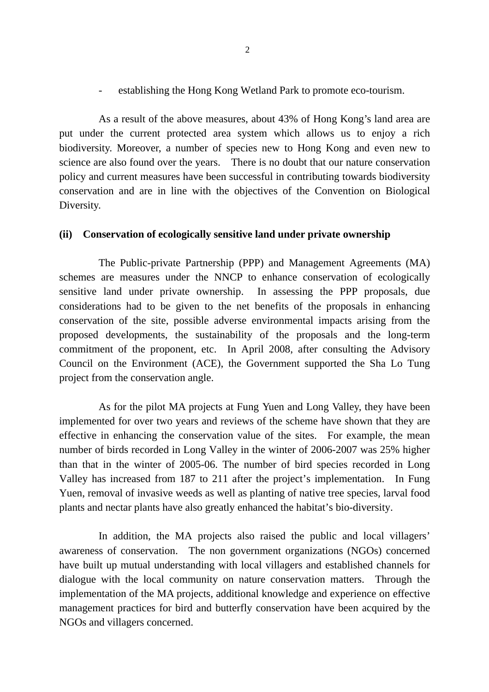- establishing the Hong Kong Wetland Park to promote eco-tourism.

 As a result of the above measures, about 43% of Hong Kong's land area are put under the current protected area system which allows us to enjoy a rich biodiversity. Moreover, a number of species new to Hong Kong and even new to science are also found over the years. There is no doubt that our nature conservation policy and current measures have been successful in contributing towards biodiversity conservation and are in line with the objectives of the Convention on Biological Diversity.

#### **(ii) Conservation of ecologically sensitive land under private ownership**

 The Public-private Partnership (PPP) and Management Agreements (MA) schemes are measures under the NNCP to enhance conservation of ecologically sensitive land under private ownership. In assessing the PPP proposals, due considerations had to be given to the net benefits of the proposals in enhancing conservation of the site, possible adverse environmental impacts arising from the proposed developments, the sustainability of the proposals and the long-term commitment of the proponent, etc. In April 2008, after consulting the Advisory Council on the Environment (ACE), the Government supported the Sha Lo Tung project from the conservation angle.

 As for the pilot MA projects at Fung Yuen and Long Valley, they have been implemented for over two years and reviews of the scheme have shown that they are effective in enhancing the conservation value of the sites. For example, the mean number of birds recorded in Long Valley in the winter of 2006-2007 was 25% higher than that in the winter of 2005-06. The number of bird species recorded in Long Valley has increased from 187 to 211 after the project's implementation. In Fung Yuen, removal of invasive weeds as well as planting of native tree species, larval food plants and nectar plants have also greatly enhanced the habitat's bio-diversity.

 In addition, the MA projects also raised the public and local villagers' awareness of conservation. The non government organizations (NGOs) concerned have built up mutual understanding with local villagers and established channels for dialogue with the local community on nature conservation matters. Through the implementation of the MA projects, additional knowledge and experience on effective management practices for bird and butterfly conservation have been acquired by the NGOs and villagers concerned.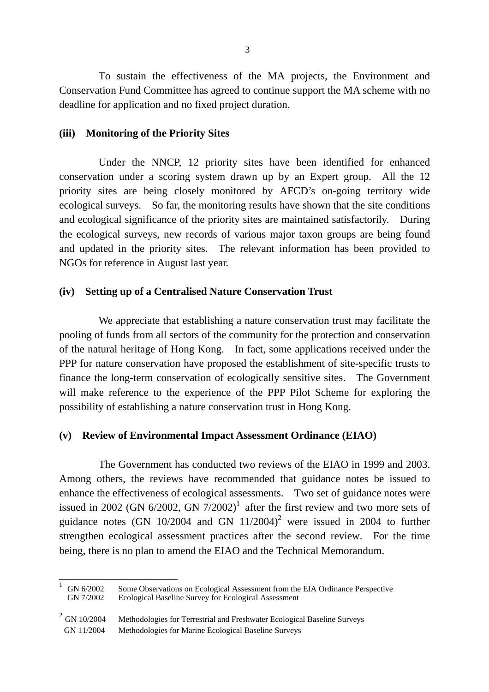To sustain the effectiveness of the MA projects, the Environment and Conservation Fund Committee has agreed to continue support the MA scheme with no deadline for application and no fixed project duration.

#### **(iii) Monitoring of the Priority Sites**

 Under the NNCP, 12 priority sites have been identified for enhanced conservation under a scoring system drawn up by an Expert group. All the 12 priority sites are being closely monitored by AFCD's on-going territory wide ecological surveys. So far, the monitoring results have shown that the site conditions and ecological significance of the priority sites are maintained satisfactorily. During the ecological surveys, new records of various major taxon groups are being found and updated in the priority sites. The relevant information has been provided to NGOs for reference in August last year.

#### **(iv) Setting up of a Centralised Nature Conservation Trust**

 We appreciate that establishing a nature conservation trust may facilitate the pooling of funds from all sectors of the community for the protection and conservation of the natural heritage of Hong Kong. In fact, some applications received under the PPP for nature conservation have proposed the establishment of site-specific trusts to finance the long-term conservation of ecologically sensitive sites. The Government will make reference to the experience of the PPP Pilot Scheme for exploring the possibility of establishing a nature conservation trust in Hong Kong.

### **(v) Review of Environmental Impact Assessment Ordinance (EIAO)**

 The Government has conducted two reviews of the EIAO in 1999 and 2003. Among others, the reviews have recommended that guidance notes be issued to enhance the effectiveness of ecological assessments. Two set of guidance notes were issued in 2002 (GN  $6/2002$ , GN  $7/2002$ )<sup>1</sup> after the first review and two more sets of guidance notes (GN 10/2004 and GN  $11/2004$ )<sup>2</sup> were issued in 2004 to further strengthen ecological assessment practices after the second review. For the time being, there is no plan to amend the EIAO and the Technical Memorandum.

<sup>1</sup> GN 6/2002 Some Observations on Ecological Assessment from the EIA Ordinance Perspective Ecological Baseline Survey for Ecological Assessment

 $\overline{1}$ 

<sup>&</sup>lt;sup>2</sup> GN 10/2004 Methodologies for Terrestrial and Freshwater Ecological Baseline Surveys